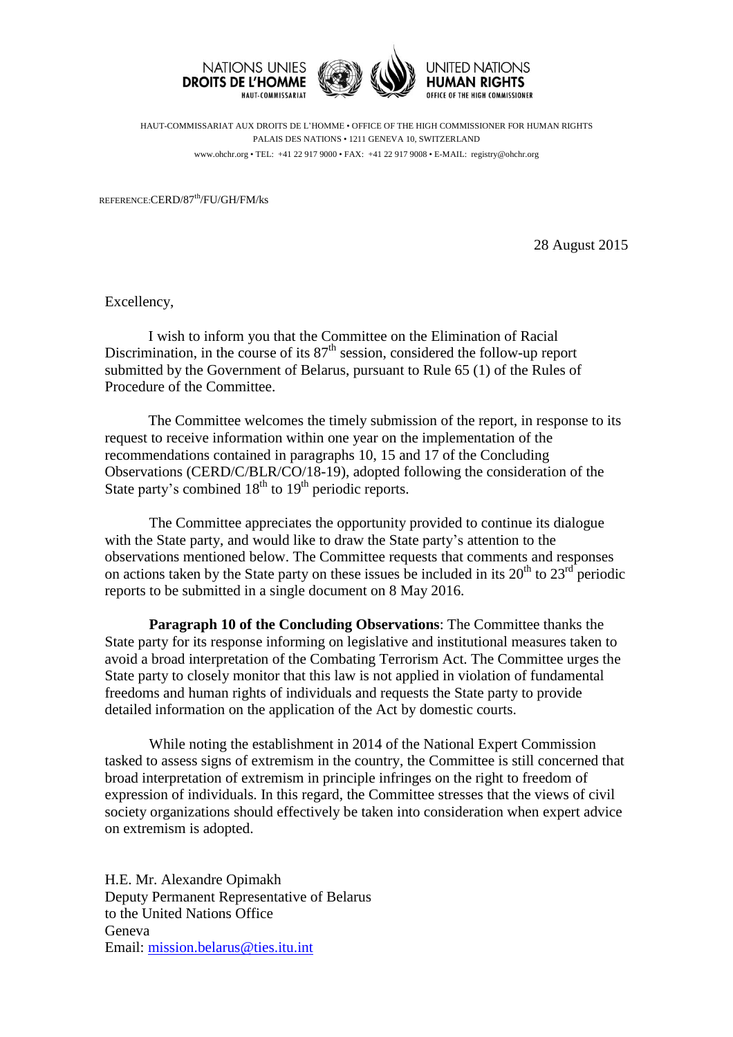





HAUT-COMMISSARIAT AUX DROITS DE L'HOMME • OFFICE OF THE HIGH COMMISSIONER FOR HUMAN RIGHTS PALAIS DES NATIONS • 1211 GENEVA 10, SWITZERLAND www.ohchr.org • TEL: +41 22 917 9000 • FAX: +41 22 917 9008 • E-MAIL: registry@ohchr.org

REFERENCE:CERD/87th/FU/GH/FM/ks

28 August 2015

Excellency,

I wish to inform you that the Committee on the Elimination of Racial Discrimination, in the course of its  $87<sup>th</sup>$  session, considered the follow-up report submitted by the Government of Belarus, pursuant to Rule 65 (1) of the Rules of Procedure of the Committee.

The Committee welcomes the timely submission of the report, in response to its request to receive information within one year on the implementation of the recommendations contained in paragraphs 10, 15 and 17 of the Concluding Observations (CERD/C/BLR/CO/18-19), adopted following the consideration of the State party's combined  $18<sup>th</sup>$  to  $19<sup>th</sup>$  periodic reports.

The Committee appreciates the opportunity provided to continue its dialogue with the State party, and would like to draw the State party's attention to the observations mentioned below. The Committee requests that comments and responses on actions taken by the State party on these issues be included in its  $20<sup>th</sup>$  to  $23<sup>rd</sup>$  periodic reports to be submitted in a single document on 8 May 2016.

**Paragraph 10 of the Concluding Observations**: The Committee thanks the State party for its response informing on legislative and institutional measures taken to avoid a broad interpretation of the Combating Terrorism Act. The Committee urges the State party to closely monitor that this law is not applied in violation of fundamental freedoms and human rights of individuals and requests the State party to provide detailed information on the application of the Act by domestic courts.

While noting the establishment in 2014 of the National Expert Commission tasked to assess signs of extremism in the country, the Committee is still concerned that broad interpretation of extremism in principle infringes on the right to freedom of expression of individuals. In this regard, the Committee stresses that the views of civil society organizations should effectively be taken into consideration when expert advice on extremism is adopted.

H.E. Mr. Alexandre Opimakh Deputy Permanent Representative of Belarus to the United Nations Office Geneva Email: [mission.belarus@ties.itu.int](mailto:mission.belarus@ties.itu.int)